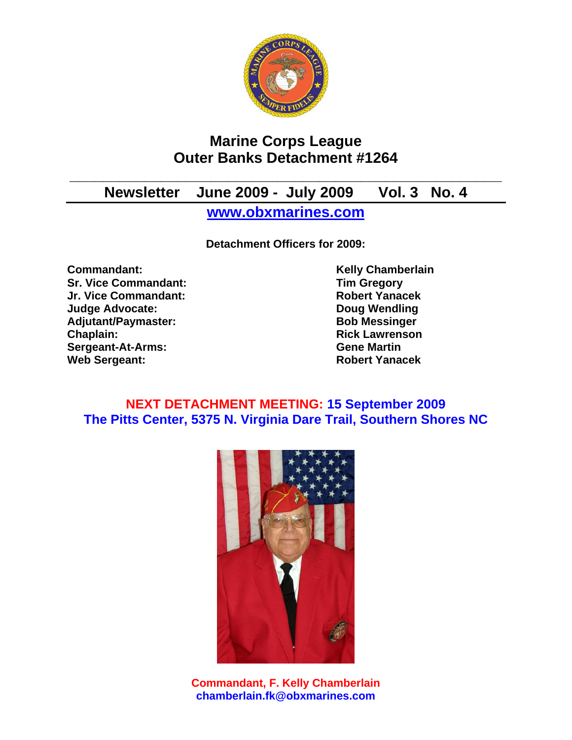

# **Marine Corps League Outer Banks Detachment #1264**

# **\_\_\_\_\_\_\_\_\_\_\_\_\_\_\_\_\_\_\_\_\_\_\_\_\_\_\_\_\_\_\_\_\_\_\_\_\_\_\_\_\_\_\_\_\_\_\_\_\_\_\_\_ Newsletter June 2009 - July 2009 Vol. 3 No. 4**

**www.obxmarines.com**

**Detachment Officers for 2009:** 

**Commandant:** Commandant: Kelly Chamberlain **Sr. Vice Commandant:** Tim Gregory<br>
Jr. Vice Commandant: The School of The Robert Yanacek **Jr. Vice Commandant: Judge Advocate: Doug Wendling**  Adjutant/Paymaster: Bob Messinger **Chaplain: Chaplain: Rick Lawrenson Sergeant-At-Arms: Gene Martin Web Sergeant: Robert Yanacek** 

## **NEXT DETACHMENT MEETING: 15 September 2009 The Pitts Center, 5375 N. Virginia Dare Trail, Southern Shores NC**



**Commandant, F. Kelly Chamberlain chamberlain.fk@obxmarines.com**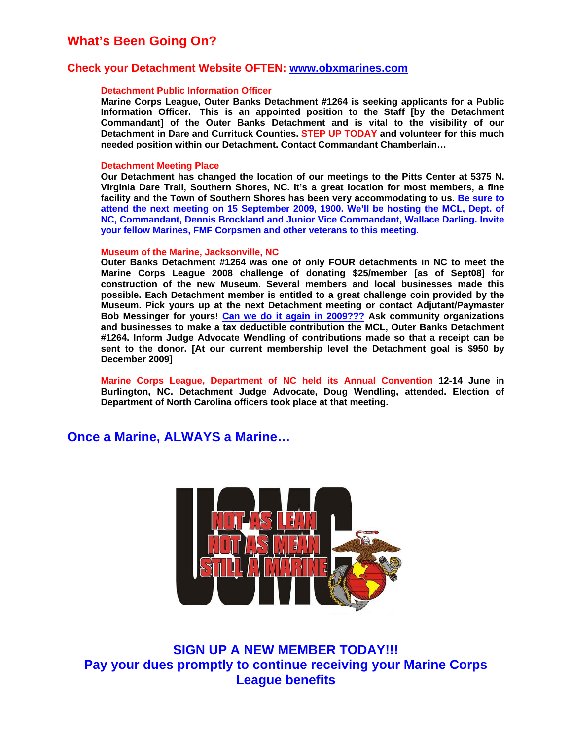## **What's Been Going On?**

### **Check your Detachment Website OFTEN: www.obxmarines.com**

#### **Detachment Public Information Officer**

**Marine Corps League, Outer Banks Detachment #1264 is seeking applicants for a Public Information Officer. This is an appointed position to the Staff [by the Detachment Commandant] of the Outer Banks Detachment and is vital to the visibility of our Detachment in Dare and Currituck Counties. STEP UP TODAY and volunteer for this much needed position within our Detachment. Contact Commandant Chamberlain…** 

#### **Detachment Meeting Place**

**Our Detachment has changed the location of our meetings to the Pitts Center at 5375 N. Virginia Dare Trail, Southern Shores, NC. It's a great location for most members, a fine facility and the Town of Southern Shores has been very accommodating to us. Be sure to attend the next meeting on 15 September 2009, 1900. We'll be hosting the MCL, Dept. of NC, Commandant, Dennis Brockland and Junior Vice Commandant, Wallace Darling. Invite your fellow Marines, FMF Corpsmen and other veterans to this meeting.** 

#### **Museum of the Marine, Jacksonville, NC**

**Outer Banks Detachment #1264 was one of only FOUR detachments in NC to meet the Marine Corps League 2008 challenge of donating \$25/member [as of Sept08] for construction of the new Museum. Several members and local businesses made this possible. Each Detachment member is entitled to a great challenge coin provided by the Museum. Pick yours up at the next Detachment meeting or contact Adjutant/Paymaster Bob Messinger for yours! Can we do it again in 2009??? Ask community organizations and businesses to make a tax deductible contribution the MCL, Outer Banks Detachment #1264. Inform Judge Advocate Wendling of contributions made so that a receipt can be sent to the donor. [At our current membership level the Detachment goal is \$950 by December 2009]** 

**Marine Corps League, Department of NC held its Annual Convention 12-14 June in Burlington, NC. Detachment Judge Advocate, Doug Wendling, attended. Election of Department of North Carolina officers took place at that meeting.** 

### **Once a Marine, ALWAYS a Marine…**



**SIGN UP A NEW MEMBER TODAY!!! Pay your dues promptly to continue receiving your Marine Corps League benefits**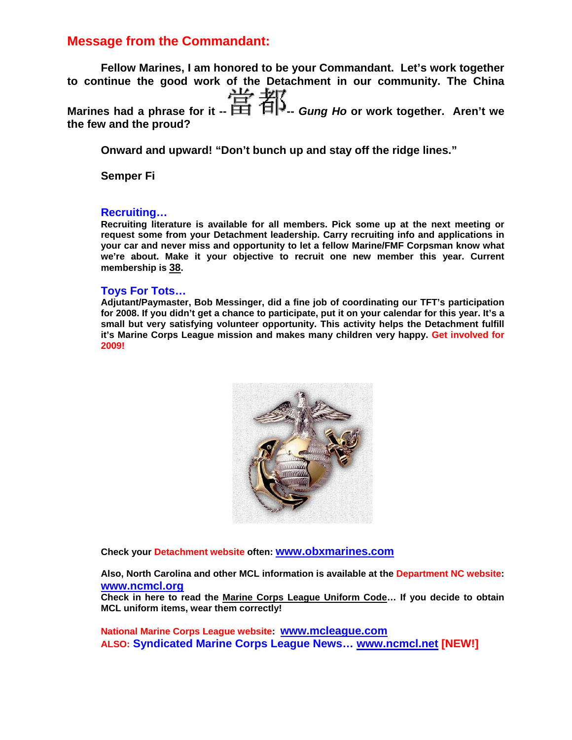## **Message from the Commandant:**

**Fellow Marines, I am honored to be your Commandant. Let's work together to continue the good work of the Detachment in our community. The China**  Marines had a phrase for it --  $\frac{11}{11}$   $\frac{11}{11}$  *Gung Ho* or work together. Aren't we **the few and the proud?** 

**Onward and upward! "Don't bunch up and stay off the ridge lines."** 

**Semper Fi** 

### **Recruiting…**

**Recruiting literature is available for all members. Pick some up at the next meeting or request some from your Detachment leadership. Carry recruiting info and applications in your car and never miss and opportunity to let a fellow Marine/FMF Corpsman know what we're about. Make it your objective to recruit one new member this year. Current membership is 38.** 

### **Toys For Tots…**

**Adjutant/Paymaster, Bob Messinger, did a fine job of coordinating our TFT's participation for 2008. If you didn't get a chance to participate, put it on your calendar for this year. It's a small but very satisfying volunteer opportunity. This activity helps the Detachment fulfill it's Marine Corps League mission and makes many children very happy. Get involved for 2009!**



**Check your Detachment website often: www.obxmarines.com**

**Also, North Carolina and other MCL information is available at the Department NC website: www.ncmcl.org**

**Check in here to read the Marine Corps League Uniform Code… If you decide to obtain MCL uniform items, wear them correctly!** 

**National Marine Corps League website: www.mcleague.com ALSO: Syndicated Marine Corps League News… www.ncmcl.net [NEW!]**